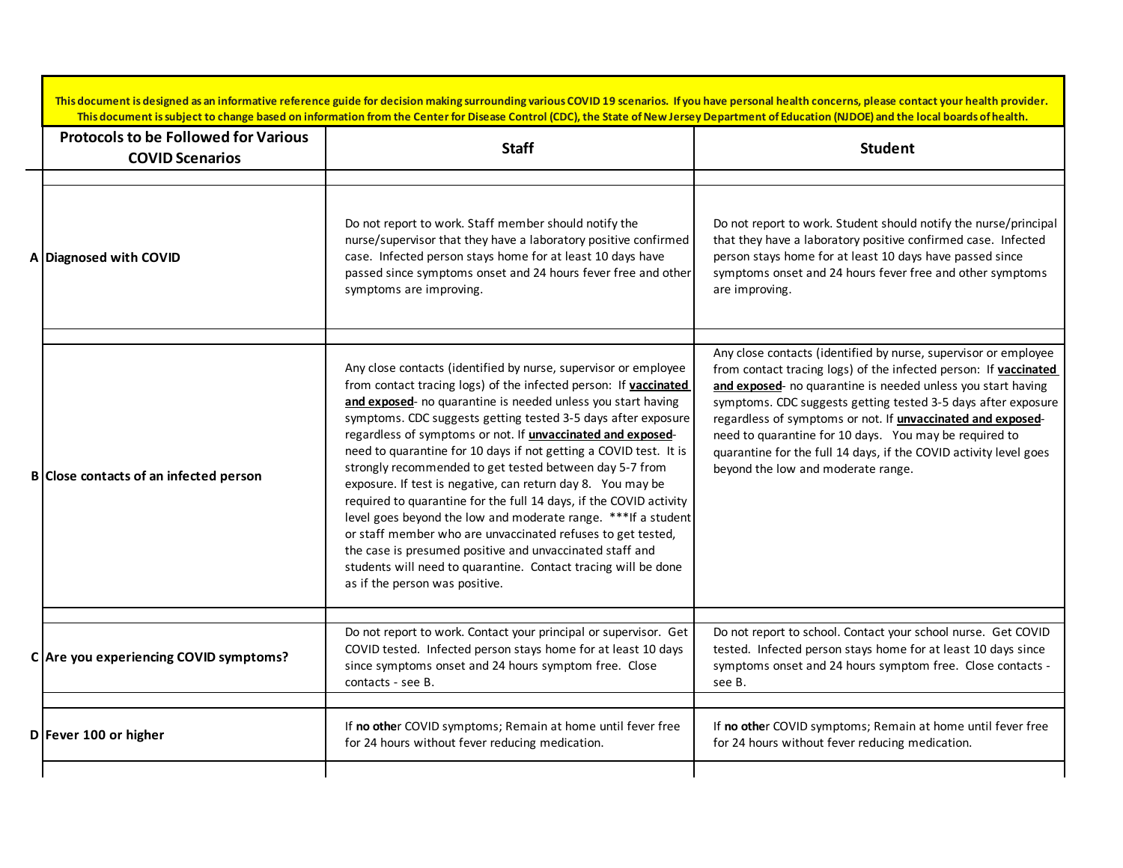| This document is designed as an informative reference guide for decision making surrounding various COVID 19 scenarios. If you have personal health concerns, please contact your health provider.<br>This document is subject to change based on information from the Center for Disease Control (CDC), the State of New Jersey Department of Education (NJDOE) and the local boards of health. |                                                                                                                                                                                                                                                                                                                                                                                                                                                                                                                                                                                                                                                                                                                                                                                                                                                                                                                 |                                                                                                                                                                                                                                                                                                                                                                                                                                                                                                                 |  |
|--------------------------------------------------------------------------------------------------------------------------------------------------------------------------------------------------------------------------------------------------------------------------------------------------------------------------------------------------------------------------------------------------|-----------------------------------------------------------------------------------------------------------------------------------------------------------------------------------------------------------------------------------------------------------------------------------------------------------------------------------------------------------------------------------------------------------------------------------------------------------------------------------------------------------------------------------------------------------------------------------------------------------------------------------------------------------------------------------------------------------------------------------------------------------------------------------------------------------------------------------------------------------------------------------------------------------------|-----------------------------------------------------------------------------------------------------------------------------------------------------------------------------------------------------------------------------------------------------------------------------------------------------------------------------------------------------------------------------------------------------------------------------------------------------------------------------------------------------------------|--|
| <b>Protocols to be Followed for Various</b><br><b>COVID Scenarios</b>                                                                                                                                                                                                                                                                                                                            | <b>Staff</b>                                                                                                                                                                                                                                                                                                                                                                                                                                                                                                                                                                                                                                                                                                                                                                                                                                                                                                    | <b>Student</b>                                                                                                                                                                                                                                                                                                                                                                                                                                                                                                  |  |
| A Diagnosed with COVID                                                                                                                                                                                                                                                                                                                                                                           | Do not report to work. Staff member should notify the<br>nurse/supervisor that they have a laboratory positive confirmed<br>case. Infected person stays home for at least 10 days have<br>passed since symptoms onset and 24 hours fever free and other<br>symptoms are improving.                                                                                                                                                                                                                                                                                                                                                                                                                                                                                                                                                                                                                              | Do not report to work. Student should notify the nurse/principal<br>that they have a laboratory positive confirmed case. Infected<br>person stays home for at least 10 days have passed since<br>symptoms onset and 24 hours fever free and other symptoms<br>are improving.                                                                                                                                                                                                                                    |  |
| B Close contacts of an infected person                                                                                                                                                                                                                                                                                                                                                           | Any close contacts (identified by nurse, supervisor or employee<br>from contact tracing logs) of the infected person: If vaccinated<br>and exposed- no quarantine is needed unless you start having<br>symptoms. CDC suggests getting tested 3-5 days after exposure<br>regardless of symptoms or not. If <i>unvaccinated and exposed-</i><br>need to quarantine for 10 days if not getting a COVID test. It is<br>strongly recommended to get tested between day 5-7 from<br>exposure. If test is negative, can return day 8. You may be<br>required to quarantine for the full 14 days, if the COVID activity<br>level goes beyond the low and moderate range. ***If a student<br>or staff member who are unvaccinated refuses to get tested,<br>the case is presumed positive and unvaccinated staff and<br>students will need to quarantine. Contact tracing will be done<br>as if the person was positive. | Any close contacts (identified by nurse, supervisor or employee<br>from contact tracing logs) of the infected person: If vaccinated<br>and exposed- no quarantine is needed unless you start having<br>symptoms. CDC suggests getting tested 3-5 days after exposure<br>regardless of symptoms or not. If <i>unvaccinated and exposed-</i><br>need to quarantine for 10 days. You may be required to<br>quarantine for the full 14 days, if the COVID activity level goes<br>beyond the low and moderate range. |  |
| C Are you experiencing COVID symptoms?                                                                                                                                                                                                                                                                                                                                                           | Do not report to work. Contact your principal or supervisor. Get<br>COVID tested. Infected person stays home for at least 10 days<br>since symptoms onset and 24 hours symptom free. Close<br>contacts - see B.                                                                                                                                                                                                                                                                                                                                                                                                                                                                                                                                                                                                                                                                                                 | Do not report to school. Contact your school nurse. Get COVID<br>tested. Infected person stays home for at least 10 days since<br>symptoms onset and 24 hours symptom free. Close contacts -<br>see B.                                                                                                                                                                                                                                                                                                          |  |
| D Fever 100 or higher                                                                                                                                                                                                                                                                                                                                                                            | If no other COVID symptoms; Remain at home until fever free<br>for 24 hours without fever reducing medication.                                                                                                                                                                                                                                                                                                                                                                                                                                                                                                                                                                                                                                                                                                                                                                                                  | If no other COVID symptoms; Remain at home until fever free<br>for 24 hours without fever reducing medication.                                                                                                                                                                                                                                                                                                                                                                                                  |  |
|                                                                                                                                                                                                                                                                                                                                                                                                  |                                                                                                                                                                                                                                                                                                                                                                                                                                                                                                                                                                                                                                                                                                                                                                                                                                                                                                                 |                                                                                                                                                                                                                                                                                                                                                                                                                                                                                                                 |  |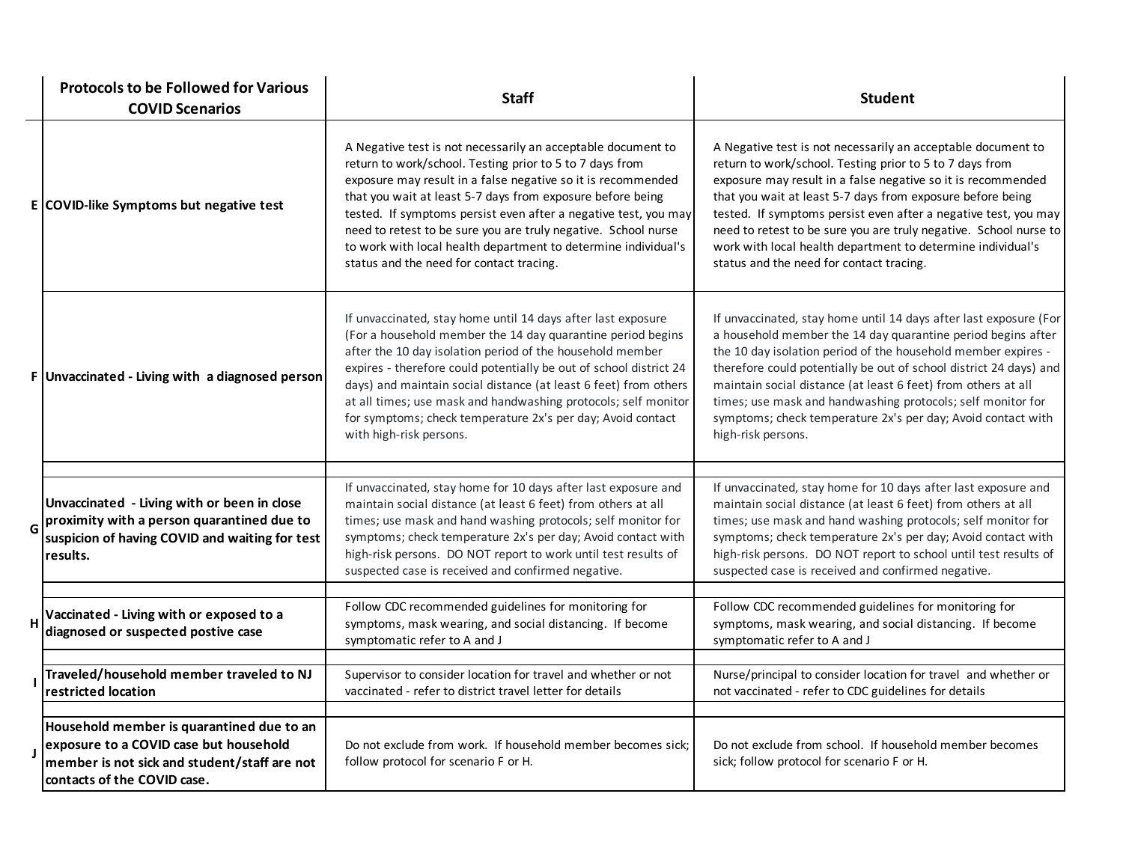|              | <b>Protocols to be Followed for Various</b><br><b>COVID Scenarios</b>                                                                                              | <b>Staff</b>                                                                                                                                                                                                                                                                                                                                                                                                                                                                                              | <b>Student</b>                                                                                                                                                                                                                                                                                                                                                                                                                                                                                            |
|--------------|--------------------------------------------------------------------------------------------------------------------------------------------------------------------|-----------------------------------------------------------------------------------------------------------------------------------------------------------------------------------------------------------------------------------------------------------------------------------------------------------------------------------------------------------------------------------------------------------------------------------------------------------------------------------------------------------|-----------------------------------------------------------------------------------------------------------------------------------------------------------------------------------------------------------------------------------------------------------------------------------------------------------------------------------------------------------------------------------------------------------------------------------------------------------------------------------------------------------|
|              | E COVID-like Symptoms but negative test                                                                                                                            | A Negative test is not necessarily an acceptable document to<br>return to work/school. Testing prior to 5 to 7 days from<br>exposure may result in a false negative so it is recommended<br>that you wait at least 5-7 days from exposure before being<br>tested. If symptoms persist even after a negative test, you may<br>need to retest to be sure you are truly negative. School nurse<br>to work with local health department to determine individual's<br>status and the need for contact tracing. | A Negative test is not necessarily an acceptable document to<br>return to work/school. Testing prior to 5 to 7 days from<br>exposure may result in a false negative so it is recommended<br>that you wait at least 5-7 days from exposure before being<br>tested. If symptoms persist even after a negative test, you may<br>need to retest to be sure you are truly negative. School nurse to<br>work with local health department to determine individual's<br>status and the need for contact tracing. |
|              | F Unvaccinated - Living with a diagnosed person                                                                                                                    | If unvaccinated, stay home until 14 days after last exposure<br>(For a household member the 14 day quarantine period begins<br>after the 10 day isolation period of the household member<br>expires - therefore could potentially be out of school district 24<br>days) and maintain social distance (at least 6 feet) from others<br>at all times; use mask and handwashing protocols; self monitor<br>for symptoms; check temperature 2x's per day; Avoid contact<br>with high-risk persons.            | If unvaccinated, stay home until 14 days after last exposure (For<br>a household member the 14 day quarantine period begins after<br>the 10 day isolation period of the household member expires -<br>therefore could potentially be out of school district 24 days) and<br>maintain social distance (at least 6 feet) from others at all<br>times; use mask and handwashing protocols; self monitor for<br>symptoms; check temperature 2x's per day; Avoid contact with<br>high-risk persons.            |
| $\mathsf{G}$ | Unvaccinated - Living with or been in close<br>proximity with a person quarantined due to<br>suspicion of having COVID and waiting for test<br>results.            | If unvaccinated, stay home for 10 days after last exposure and<br>maintain social distance (at least 6 feet) from others at all<br>times; use mask and hand washing protocols; self monitor for<br>symptoms; check temperature 2x's per day; Avoid contact with<br>high-risk persons. DO NOT report to work until test results of<br>suspected case is received and confirmed negative.                                                                                                                   | If unvaccinated, stay home for 10 days after last exposure and<br>maintain social distance (at least 6 feet) from others at all<br>times; use mask and hand washing protocols; self monitor for<br>symptoms; check temperature 2x's per day; Avoid contact with<br>high-risk persons. DO NOT report to school until test results of<br>suspected case is received and confirmed negative.                                                                                                                 |
| H            | Vaccinated - Living with or exposed to a<br>diagnosed or suspected postive case                                                                                    | Follow CDC recommended guidelines for monitoring for<br>symptoms, mask wearing, and social distancing. If become<br>symptomatic refer to A and J                                                                                                                                                                                                                                                                                                                                                          | Follow CDC recommended guidelines for monitoring for<br>symptoms, mask wearing, and social distancing. If become<br>symptomatic refer to A and J                                                                                                                                                                                                                                                                                                                                                          |
|              | Traveled/household member traveled to NJ<br>restricted location                                                                                                    | Supervisor to consider location for travel and whether or not<br>vaccinated - refer to district travel letter for details                                                                                                                                                                                                                                                                                                                                                                                 | Nurse/principal to consider location for travel and whether or<br>not vaccinated - refer to CDC guidelines for details                                                                                                                                                                                                                                                                                                                                                                                    |
| J            | Household member is quarantined due to an<br>exposure to a COVID case but household<br>member is not sick and student/staff are not<br>contacts of the COVID case. | Do not exclude from work. If household member becomes sick;<br>follow protocol for scenario F or H.                                                                                                                                                                                                                                                                                                                                                                                                       | Do not exclude from school. If household member becomes<br>sick; follow protocol for scenario F or H.                                                                                                                                                                                                                                                                                                                                                                                                     |